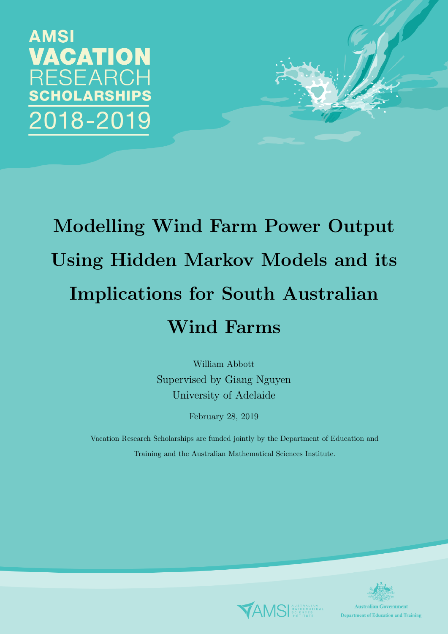**AMSI** VACATION RESEARCH CHOLARSHIPS 018-2019

# Modelling Wind Farm Power Output Using Hidden Markov Models and its Implications for South Australian Wind Farms

William Abbott Supervised by Giang Nguyen University of Adelaide

February 28, 2019

Vacation Research Scholarships are funded jointly by the Department of Education and Training and the Australian Mathematical Sciences Institute.



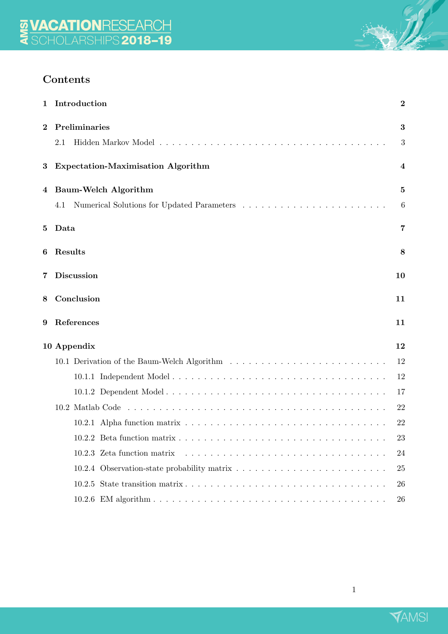# Contents

|                 | 1 Introduction                            | $\boldsymbol{2}$ |
|-----------------|-------------------------------------------|------------------|
| $\bf{2}$        | Preliminaries                             | 3                |
|                 | 2.1                                       | 3                |
| 3               | <b>Expectation-Maximisation Algorithm</b> | 4                |
| 4               | Baum-Welch Algorithm                      | 5                |
|                 | 4.1                                       | 6                |
| $5\phantom{.0}$ | Data                                      | 7                |
| 6               | Results                                   | 8                |
| 7               | <b>Discussion</b>                         | 10               |
| 8               | Conclusion                                | 11               |
| 9               | References                                | 11               |
|                 | 10 Appendix                               | 12               |
|                 |                                           | 12               |
|                 |                                           | 12               |
|                 |                                           | 17               |
|                 |                                           | 22               |
|                 |                                           | 22               |
|                 |                                           | 23               |
|                 | 10.2.3 Zeta function matrix               | 24               |
|                 |                                           | 25               |
|                 |                                           | 26               |
|                 |                                           | 26               |



 $\mathbb{Z}$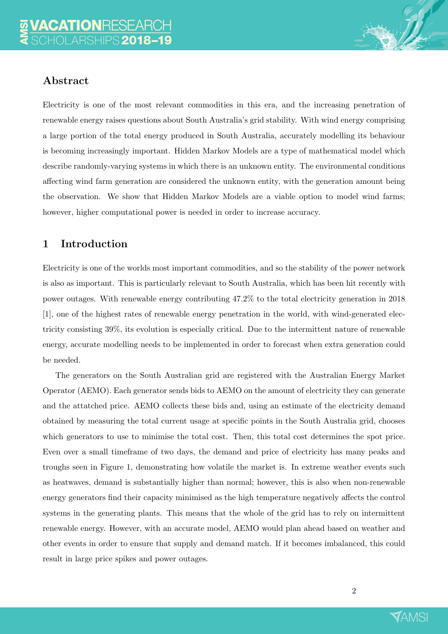

Electricity is one of the most relevant commodities in this era, and the increasing penetration of renewable energy raises questions about South Australia's grid stability. With wind energy comprising a large portion of the total energy produced in South Australia, accurately modelling its behaviour is becoming increasingly important. Hidden Markov Models are a type of mathematical model which describe randomly-varying systems in which there is an unknown entity. The environmental conditions affecting wind farm generation are considered the unknown entity, with the generation amount being the observation. We show that Hidden Markov Models are a viable option to model wind farms; however, higher computational power is needed in order to increase accuracy.

# 1 Introduction

Electricity is one of the worlds most important commodities, and so the stability of the power network is also as important. This is particularly relevant to South Australia, which has been hit recently with power outages. With renewable energy contributing 47.2% to the total electricity generation in 2018 [1], one of the highest rates of renewable energy penetration in the world, with wind-generated electricity consisting 39%, its evolution is especially critical. Due to the intermittent nature of renewable energy, accurate modelling needs to be implemented in order to forecast when extra generation could be needed.

The generators on the South Australian grid are registered with the Australian Energy Market Operator (AEMO). Each generator sends bids to AEMO on the amount of electricity they can generate and the attatched price. AEMO collects these bids and, using an estimate of the electricity demand obtained by measuring the total current usage at specific points in the South Australia grid, chooses which generators to use to minimise the total cost. Then, this total cost determines the spot price. Even over a small timeframe of two days, the demand and price of electricity has many peaks and troughs seen in Figure 1, demonstrating how volatile the market is. In extreme weather events such as heatwaves, demand is substantially higher than normal; however, this is also when non-renewable energy generators find their capacity minimised as the high temperature negatively affects the control systems in the generating plants. This means that the whole of the grid has to rely on intermittent renewable energy. However, with an accurate model, AEMO would plan ahead based on weather and other events in order to ensure that supply and demand match. If it becomes imbalanced, this could result in large price spikes and power outages.

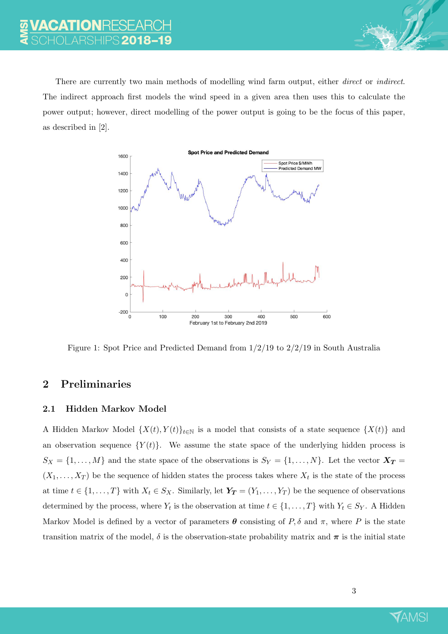There are currently two main methods of modelling wind farm output, either *direct* or *indirect*. The indirect approach first models the wind speed in a given area then uses this to calculate the power output; however, direct modelling of the power output is going to be the focus of this paper, as described in [2].



Figure 1: Spot Price and Predicted Demand from 1/2/19 to 2/2/19 in South Australia

# 2 Preliminaries

## 2.1 Hidden Markov Model

A Hidden Markov Model  $\{X(t), Y(t)\}_{t\in\mathbb{N}}$  is a model that consists of a state sequence  $\{X(t)\}$  and an observation sequence  $\{Y(t)\}.$  We assume the state space of the underlying hidden process is  $S_X = \{1, \ldots, M\}$  and the state space of the observations is  $S_Y = \{1, \ldots, N\}$ . Let the vector  $\mathbf{X_T} = \{1, \ldots, N\}$  $(X_1, \ldots, X_T)$  be the sequence of hidden states the process takes where  $X_t$  is the state of the process at time  $t \in \{1, ..., T\}$  with  $X_t \in S_X$ . Similarly, let  $\boldsymbol{Y_T} = (Y_1, ..., Y_T)$  be the sequence of observations determined by the process, where  $Y_t$  is the observation at time  $t \in \{1, \ldots, T\}$  with  $Y_t \in S_Y$ . A Hidden Markov Model is defined by a vector of parameters  $\theta$  consisting of P,  $\delta$  and  $\pi$ , where P is the state transition matrix of the model,  $\delta$  is the observation-state probability matrix and  $\pi$  is the initial state

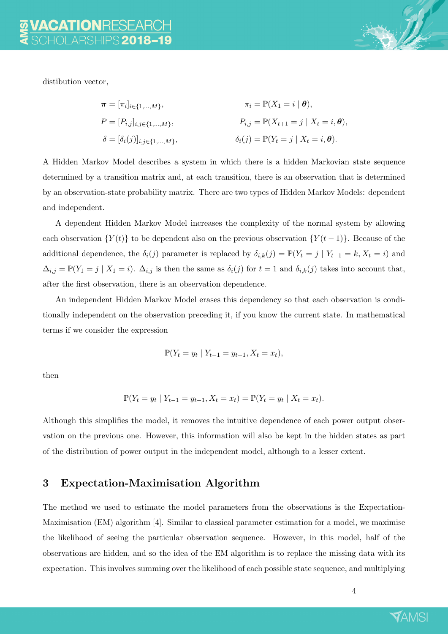

distibution vector,

$$
\pi = [\pi_i]_{i \in \{1, ..., M\}}, \qquad \pi_i = \mathbb{P}(X_1 = i | \boldsymbol{\theta}),
$$
  
\n
$$
P = [P_{i,j}]_{i,j \in \{1, ..., M\}}, \qquad P_{i,j} = \mathbb{P}(X_{t+1} = j | X_t = i, \boldsymbol{\theta}),
$$
  
\n
$$
\delta = [\delta_i(j)]_{i,j \in \{1, ..., M\}}, \qquad \delta_i(j) = \mathbb{P}(Y_t = j | X_t = i, \boldsymbol{\theta}).
$$

A Hidden Markov Model describes a system in which there is a hidden Markovian state sequence determined by a transition matrix and, at each transition, there is an observation that is determined by an observation-state probability matrix. There are two types of Hidden Markov Models: dependent and independent.

A dependent Hidden Markov Model increases the complexity of the normal system by allowing each observation  $\{Y(t)\}\$ to be dependent also on the previous observation  $\{Y(t-1)\}\$ . Because of the additional dependence, the  $\delta_i(j)$  parameter is replaced by  $\delta_{i,k}(j) = \mathbb{P}(Y_t = j \mid Y_{t-1} = k, X_t = i)$  and  $\Delta_{i,j} = \mathbb{P}(Y_1 = j \mid X_1 = i)$ .  $\Delta_{i,j}$  is then the same as  $\delta_i(j)$  for  $t = 1$  and  $\delta_{i,k}(j)$  takes into account that, after the first observation, there is an observation dependence.

An independent Hidden Markov Model erases this dependency so that each observation is conditionally independent on the observation preceding it, if you know the current state. In mathematical terms if we consider the expression

$$
\mathbb{P}(Y_t = y_t \mid Y_{t-1} = y_{t-1}, X_t = x_t),
$$

then

$$
\mathbb{P}(Y_t = y_t | Y_{t-1} = y_{t-1}, X_t = x_t) = \mathbb{P}(Y_t = y_t | X_t = x_t).
$$

Although this simplifies the model, it removes the intuitive dependence of each power output observation on the previous one. However, this information will also be kept in the hidden states as part of the distribution of power output in the independent model, although to a lesser extent.

# 3 Expectation-Maximisation Algorithm

The method we used to estimate the model parameters from the observations is the Expectation-Maximisation (EM) algorithm [4]. Similar to classical parameter estimation for a model, we maximise the likelihood of seeing the particular observation sequence. However, in this model, half of the observations are hidden, and so the idea of the EM algorithm is to replace the missing data with its expectation. This involves summing over the likelihood of each possible state sequence, and multiplying

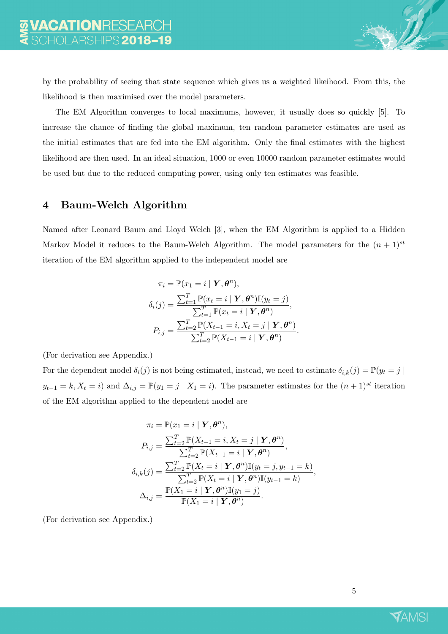by the probability of seeing that state sequence which gives us a weighted likeihood. From this, the likelihood is then maximised over the model parameters.

The EM Algorithm converges to local maximums, however, it usually does so quickly [5]. To increase the chance of finding the global maximum, ten random parameter estimates are used as the initial estimates that are fed into the EM algorithm. Only the final estimates with the highest likelihood are then used. In an ideal situation, 1000 or even 10000 random parameter estimates would be used but due to the reduced computing power, using only ten estimates was feasible.

## 4 Baum-Welch Algorithm

Named after Leonard Baum and Lloyd Welch [3], when the EM Algorithm is applied to a Hidden Markov Model it reduces to the Baum-Welch Algorithm. The model parameters for the  $(n + 1)^{st}$ iteration of the EM algorithm applied to the independent model are

$$
\pi_i = \mathbb{P}(x_1 = i \mid \mathbf{Y}, \boldsymbol{\theta}^n),
$$

$$
\delta_i(j) = \frac{\sum_{t=1}^T \mathbb{P}(x_t = i \mid \mathbf{Y}, \boldsymbol{\theta}^n) \mathbb{I}(y_t = j)}{\sum_{t=1}^T \mathbb{P}(x_t = i \mid \mathbf{Y}, \boldsymbol{\theta}^n)},
$$

$$
P_{i,j} = \frac{\sum_{t=2}^T \mathbb{P}(X_{t-1} = i, X_t = j \mid \mathbf{Y}, \boldsymbol{\theta}^n)}{\sum_{t=2}^T \mathbb{P}(X_{t-1} = i \mid \mathbf{Y}, \boldsymbol{\theta}^n)}.
$$

(For derivation see Appendix.)

For the dependent model  $\delta_i(j)$  is not being estimated, instead, we need to estimate  $\delta_{i,k}(j) = \mathbb{P}(y_t = j \mid$  $y_{t-1} = k, X_t = i$  and  $\Delta_{i,j} = \mathbb{P}(y_1 = j \mid X_1 = i)$ . The parameter estimates for the  $(n+1)^{st}$  iteration of the EM algorithm applied to the dependent model are

$$
\pi_i = \mathbb{P}(x_1 = i | \mathbf{Y}, \boldsymbol{\theta}^n),
$$
  
\n
$$
P_{i,j} = \frac{\sum_{t=2}^T \mathbb{P}(X_{t-1} = i, X_t = j | \mathbf{Y}, \boldsymbol{\theta}^n)}{\sum_{t=2}^T \mathbb{P}(X_{t-1} = i | \mathbf{Y}, \boldsymbol{\theta}^n)},
$$
  
\n
$$
\delta_{i,k}(j) = \frac{\sum_{t=2}^T \mathbb{P}(X_t = i | \mathbf{Y}, \boldsymbol{\theta}^n) \mathbb{I}(y_t = j, y_{t-1} = k)}{\sum_{t=2}^T \mathbb{P}(X_t = i | \mathbf{Y}, \boldsymbol{\theta}^n) \mathbb{I}(y_{t-1} = k)},
$$
  
\n
$$
\Delta_{i,j} = \frac{\mathbb{P}(X_1 = i | \mathbf{Y}, \boldsymbol{\theta}^n) \mathbb{I}(y_1 = j)}{\mathbb{P}(X_1 = i | \mathbf{Y}, \boldsymbol{\theta}^n)}.
$$

(For derivation see Appendix.)

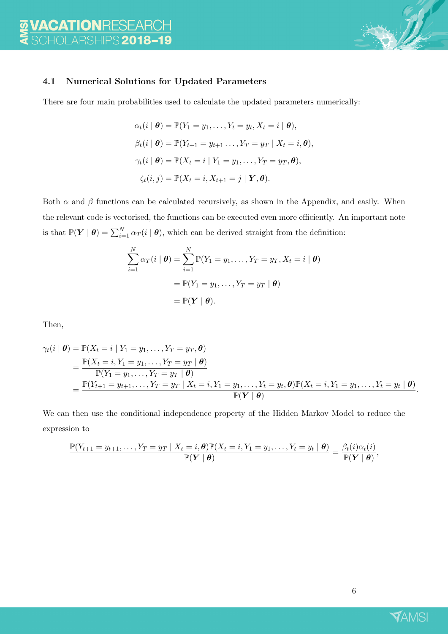

## 4.1 Numerical Solutions for Updated Parameters

There are four main probabilities used to calculate the updated parameters numerically:

$$
\alpha_t(i \mid \boldsymbol{\theta}) = \mathbb{P}(Y_1 = y_1, \dots, Y_t = y_t, X_t = i \mid \boldsymbol{\theta}),
$$
  
\n
$$
\beta_t(i \mid \boldsymbol{\theta}) = \mathbb{P}(Y_{t+1} = y_{t+1}, \dots, Y_T = y_T \mid X_t = i, \boldsymbol{\theta}),
$$
  
\n
$$
\gamma_t(i \mid \boldsymbol{\theta}) = \mathbb{P}(X_t = i \mid Y_1 = y_1, \dots, Y_T = y_T, \boldsymbol{\theta}),
$$
  
\n
$$
\zeta_t(i, j) = \mathbb{P}(X_t = i, X_{t+1} = j \mid \boldsymbol{Y}, \boldsymbol{\theta}).
$$

Both  $\alpha$  and  $\beta$  functions can be calculated recursively, as shown in the Appendix, and easily. When the relevant code is vectorised, the functions can be executed even more efficiently. An important note is that  $\mathbb{P}(Y | \theta) = \sum_{i=1}^{N} \alpha_T(i | \theta)$ , which can be derived straight from the definition:

$$
\sum_{i=1}^{N} \alpha_T(i | \boldsymbol{\theta}) = \sum_{i=1}^{N} \mathbb{P}(Y_1 = y_1, \dots, Y_T = y_T, X_t = i | \boldsymbol{\theta})
$$

$$
= \mathbb{P}(Y_1 = y_1, \dots, Y_T = y_T | \boldsymbol{\theta})
$$

$$
= \mathbb{P}(\boldsymbol{Y} | \boldsymbol{\theta}).
$$

Then,

$$
\gamma_t(i | \theta) = \mathbb{P}(X_t = i | Y_1 = y_1, ..., Y_T = y_T, \theta)
$$
  
= 
$$
\frac{\mathbb{P}(X_t = i, Y_1 = y_1, ..., Y_T = y_T | \theta)}{\mathbb{P}(Y_1 = y_1, ..., Y_T = y_T | \theta)}
$$
  
= 
$$
\frac{\mathbb{P}(Y_{t+1} = y_{t+1}, ..., Y_T = y_T | X_t = i, Y_1 = y_1, ..., Y_t = y_t, \theta) \mathbb{P}(X_t = i, Y_1 = y_1, ..., Y_t = y_t | \theta)}{\mathbb{P}(Y | \theta)}.
$$

We can then use the conditional independence property of the Hidden Markov Model to reduce the expression to

$$
\frac{\mathbb{P}(Y_{t+1} = y_{t+1}, \dots, Y_T = y_T \mid X_t = i, \boldsymbol{\theta}) \mathbb{P}(X_t = i, Y_1 = y_1, \dots, Y_t = y_t \mid \boldsymbol{\theta})}{\mathbb{P}(Y \mid \boldsymbol{\theta})} = \frac{\beta_t(i) \alpha_t(i)}{\mathbb{P}(Y \mid \boldsymbol{\theta})},
$$

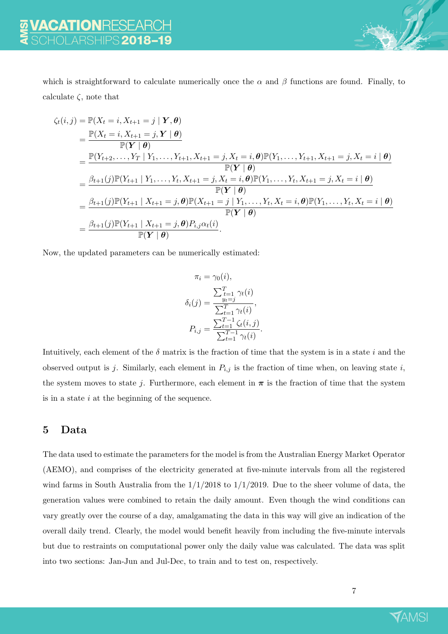

which is straightforward to calculate numerically once the  $\alpha$  and  $\beta$  functions are found. Finally, to calculate  $\zeta$ , note that

$$
\begin{split}\n\zeta_{t}(i,j) &= \mathbb{P}(X_{t} = i, X_{t+1} = j \mid \mathbf{Y}, \boldsymbol{\theta}) \\
&= \frac{\mathbb{P}(X_{t} = i, X_{t+1} = j, \mathbf{Y} \mid \boldsymbol{\theta})}{\mathbb{P}(\mathbf{Y} \mid \boldsymbol{\theta})} \\
&= \frac{\mathbb{P}(Y_{t+2}, \ldots, Y_{T} \mid Y_{1}, \ldots, Y_{t+1}, X_{t+1} = j, X_{t} = i, \boldsymbol{\theta}) \mathbb{P}(Y_{1}, \ldots, Y_{t+1}, X_{t+1} = j, X_{t} = i \mid \boldsymbol{\theta})}{\mathbb{P}(\mathbf{Y} \mid \boldsymbol{\theta})} \\
&= \frac{\beta_{t+1}(j) \mathbb{P}(Y_{t+1} \mid Y_{1}, \ldots, Y_{t}, X_{t+1} = j, X_{t} = i, \boldsymbol{\theta}) \mathbb{P}(Y_{1}, \ldots, Y_{t}, X_{t+1} = j, X_{t} = i \mid \boldsymbol{\theta})}{\mathbb{P}(\mathbf{Y} \mid \boldsymbol{\theta})} \\
&= \frac{\beta_{t+1}(j) \mathbb{P}(Y_{t+1} \mid X_{t+1} = j, \boldsymbol{\theta}) \mathbb{P}(X_{t+1} = j \mid Y_{1}, \ldots, Y_{t}, X_{t} = i, \boldsymbol{\theta}) \mathbb{P}(Y_{1}, \ldots, Y_{t}, X_{t} = i \mid \boldsymbol{\theta})}{\mathbb{P}(\mathbf{Y} \mid \boldsymbol{\theta})} \\
&= \frac{\beta_{t+1}(j) \mathbb{P}(Y_{t+1} \mid X_{t+1} = j, \boldsymbol{\theta}) P_{i,j} \alpha_{t}(i)}{\mathbb{P}(\mathbf{Y} \mid \boldsymbol{\theta})}.\n\end{split}
$$

Now, the updated parameters can be numerically estimated:

$$
\pi_i = \gamma_0(i), \n\sum_{t=1}^{T} \gamma_t(i) \n\delta_i(j) = \frac{y_t - j}{\sum_{t=1}^{T} \gamma_t(i)}, \nP_{i,j} = \frac{\sum_{t=1}^{T-1} \zeta_t(i,j)}{\sum_{t=1}^{T-1} \gamma_t(i)}.
$$

Intuitively, each element of the  $\delta$  matrix is the fraction of time that the system is in a state i and the observed output is j. Similarly, each element in  $P_{i,j}$  is the fraction of time when, on leaving state i, the system moves to state j. Furthermore, each element in  $\pi$  is the fraction of time that the system is in a state  $i$  at the beginning of the sequence.

# 5 Data

The data used to estimate the parameters for the model is from the Australian Energy Market Operator (AEMO), and comprises of the electricity generated at five-minute intervals from all the registered wind farms in South Australia from the  $1/1/2018$  to  $1/1/2019$ . Due to the sheer volume of data, the generation values were combined to retain the daily amount. Even though the wind conditions can vary greatly over the course of a day, amalgamating the data in this way will give an indication of the overall daily trend. Clearly, the model would benefit heavily from including the five-minute intervals but due to restraints on computational power only the daily value was calculated. The data was split into two sections: Jan-Jun and Jul-Dec, to train and to test on, respectively.

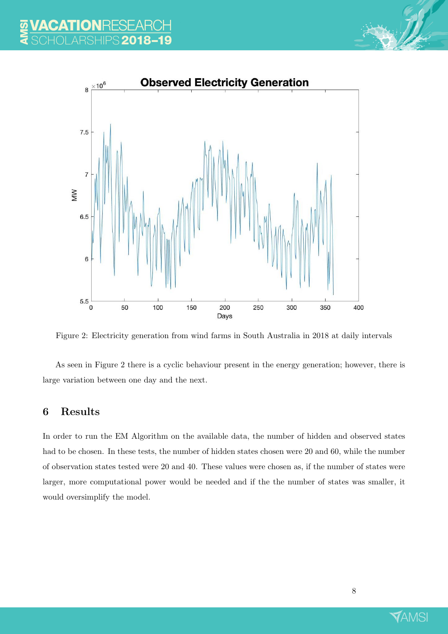



Figure 2: Electricity generation from wind farms in South Australia in 2018 at daily intervals

As seen in Figure 2 there is a cyclic behaviour present in the energy generation; however, there is large variation between one day and the next.

# 6 Results

In order to run the EM Algorithm on the available data, the number of hidden and observed states had to be chosen. In these tests, the number of hidden states chosen were 20 and 60, while the number of observation states tested were 20 and 40. These values were chosen as, if the number of states were larger, more computational power would be needed and if the the number of states was smaller, it would oversimplify the model.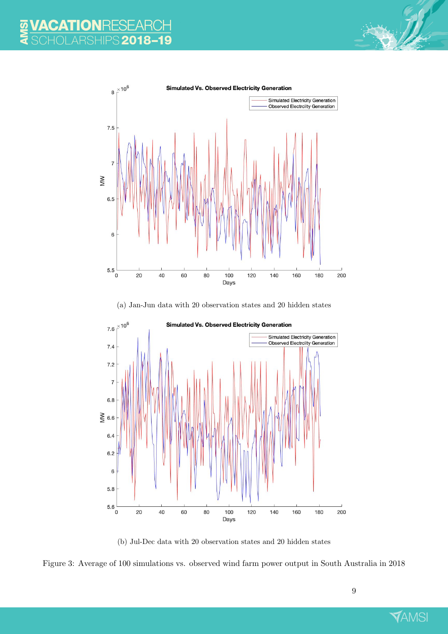



(a) Jan-Jun data with 20 observation states and 20 hidden states



(b) Jul-Dec data with 20 observation states and 20 hidden states



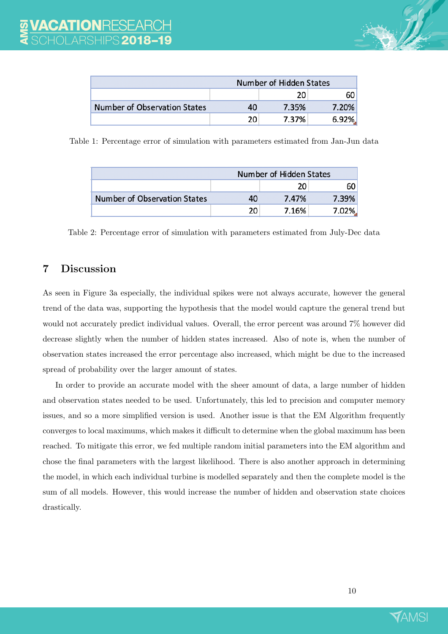

| Number of Hidden States      |    |       |       |  |
|------------------------------|----|-------|-------|--|
|                              |    | 20    | 60    |  |
| Number of Observation States | 40 | 7.35% | 7.20% |  |
|                              | 20 | 7.37% | 6.92% |  |

Table 1: Percentage error of simulation with parameters estimated from Jan-Jun data

|                              | Number of Hidden States |       |        |  |
|------------------------------|-------------------------|-------|--------|--|
|                              |                         | 20    | 60     |  |
| Number of Observation States | 40                      | 7.47% | 7.39%  |  |
|                              | 20                      | 7.16% | 7.02%. |  |

Table 2: Percentage error of simulation with parameters estimated from July-Dec data

# 7 Discussion

As seen in Figure 3a especially, the individual spikes were not always accurate, however the general trend of the data was, supporting the hypothesis that the model would capture the general trend but would not accurately predict individual values. Overall, the error percent was around 7% however did decrease slightly when the number of hidden states increased. Also of note is, when the number of observation states increased the error percentage also increased, which might be due to the increased spread of probability over the larger amount of states.

In order to provide an accurate model with the sheer amount of data, a large number of hidden and observation states needed to be used. Unfortunately, this led to precision and computer memory issues, and so a more simplified version is used. Another issue is that the EM Algorithm frequently converges to local maximums, which makes it difficult to determine when the global maximum has been reached. To mitigate this error, we fed multiple random initial parameters into the EM algorithm and chose the final parameters with the largest likelihood. There is also another approach in determining the model, in which each individual turbine is modelled separately and then the complete model is the sum of all models. However, this would increase the number of hidden and observation state choices drastically.

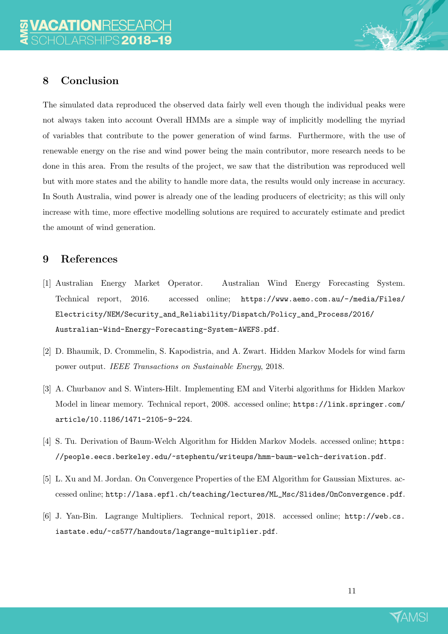

The simulated data reproduced the observed data fairly well even though the individual peaks were not always taken into account Overall HMMs are a simple way of implicitly modelling the myriad of variables that contribute to the power generation of wind farms. Furthermore, with the use of renewable energy on the rise and wind power being the main contributor, more research needs to be done in this area. From the results of the project, we saw that the distribution was reproduced well but with more states and the ability to handle more data, the results would only increase in accuracy. In South Australia, wind power is already one of the leading producers of electricity; as this will only increase with time, more effective modelling solutions are required to accurately estimate and predict the amount of wind generation.

# 9 References

- [1] Australian Energy Market Operator. Australian Wind Energy Forecasting System. Technical report, 2016. accessed online; https://www.aemo.com.au/-/media/Files/ Electricity/NEM/Security\_and\_Reliability/Dispatch/Policy\_and\_Process/2016/ Australian-Wind-Energy-Forecasting-System-AWEFS.pdf.
- [2] D. Bhaumik, D. Crommelin, S. Kapodistria, and A. Zwart. Hidden Markov Models for wind farm power output. IEEE Transactions on Sustainable Energy, 2018.
- [3] A. Churbanov and S. Winters-Hilt. Implementing EM and Viterbi algorithms for Hidden Markov Model in linear memory. Technical report, 2008. accessed online; https://link.springer.com/ article/10.1186/1471-2105-9-224.
- [4] S. Tu. Derivation of Baum-Welch Algorithm for Hidden Markov Models. accessed online; https: //people.eecs.berkeley.edu/~stephentu/writeups/hmm-baum-welch-derivation.pdf.
- [5] L. Xu and M. Jordan. On Convergence Properties of the EM Algorithm for Gaussian Mixtures. accessed online; http://lasa.epfl.ch/teaching/lectures/ML\_Msc/Slides/OnConvergence.pdf.
- [6] J. Yan-Bin. Lagrange Multipliers. Technical report, 2018. accessed online; http://web.cs. iastate.edu/~cs577/handouts/lagrange-multiplier.pdf.

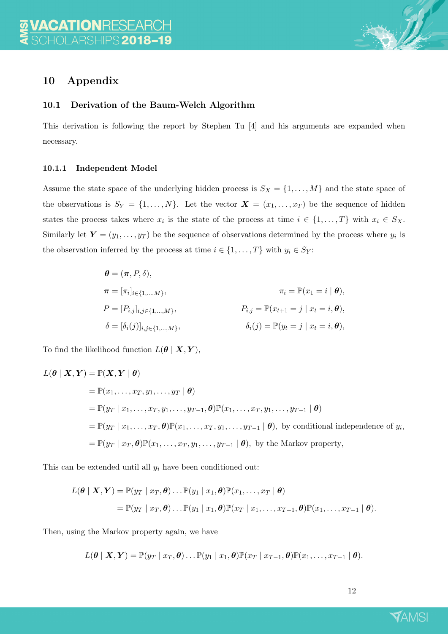

# 10 Appendix

#### 10.1 Derivation of the Baum-Welch Algorithm

This derivation is following the report by Stephen Tu [4] and his arguments are expanded when necessary.

#### 10.1.1 Independent Model

Assume the state space of the underlying hidden process is  $S_X = \{1, \ldots, M\}$  and the state space of the observations is  $S_Y = \{1, ..., N\}$ . Let the vector  $\mathbf{X} = (x_1, ..., x_T)$  be the sequence of hidden states the process takes where  $x_i$  is the state of the process at time  $i \in \{1, ..., T\}$  with  $x_i \in S_X$ . Similarly let  $\boldsymbol{Y} = (y_1, \dots, y_T)$  be the sequence of observations determined by the process where  $y_i$  is the observation inferred by the process at time  $i \in \{1, ..., T\}$  with  $y_i \in S_Y$ :

$$
\theta = (\pi, P, \delta),
$$
  
\n
$$
\pi = [\pi_i]_{i \in \{1, ..., M\}}, \pi_i = \mathbb{P}(x_1 = i | \theta),
$$
  
\n
$$
P = [P_{i,j}]_{i,j \in \{1, ..., M\}}, \qquad P_{i,j} = \mathbb{P}(x_{t+1} = j | x_t = i, \theta),
$$
  
\n
$$
\delta = [\delta_i(j)]_{i,j \in \{1, ..., M\}}, \qquad \delta_i(j) = \mathbb{P}(y_t = j | x_t = i, \theta),
$$

To find the likelihood function  $L(\theta | X, Y)$ ,

$$
L(\theta | \mathbf{X}, \mathbf{Y}) = \mathbb{P}(\mathbf{X}, \mathbf{Y} | \theta)
$$
  
=  $\mathbb{P}(x_1, \dots, x_T, y_1, \dots, y_T | \theta)$   
=  $\mathbb{P}(y_T | x_1, \dots, x_T, y_1, \dots, y_{T-1}, \theta) \mathbb{P}(x_1, \dots, x_T, y_1, \dots, y_{T-1} | \theta)$   
=  $\mathbb{P}(y_T | x_1, \dots, x_T, \theta) \mathbb{P}(x_1, \dots, x_T, y_1, \dots, y_{T-1} | \theta)$ , by conditional independence of  $y_i$ ,  
=  $\mathbb{P}(y_T | x_T, \theta) \mathbb{P}(x_1, \dots, x_T, y_1, \dots, y_{T-1} | \theta)$ , by the Markov property,

This can be extended until all  $y_i$  have been conditioned out:

$$
L(\boldsymbol{\theta} \mid \boldsymbol{X}, \boldsymbol{Y}) = \mathbb{P}(y_T \mid x_T, \boldsymbol{\theta}) \dots \mathbb{P}(y_1 \mid x_1, \boldsymbol{\theta}) \mathbb{P}(x_1, \dots, x_T \mid \boldsymbol{\theta})
$$
  
=  $\mathbb{P}(y_T \mid x_T, \boldsymbol{\theta}) \dots \mathbb{P}(y_1 \mid x_1, \boldsymbol{\theta}) \mathbb{P}(x_T \mid x_1, \dots, x_{T-1}, \boldsymbol{\theta}) \mathbb{P}(x_1, \dots, x_{T-1} \mid \boldsymbol{\theta}).$ 

Then, using the Markov property again, we have

$$
L(\boldsymbol{\theta} \mid \boldsymbol{X}, \boldsymbol{Y}) = \mathbb{P}(y_T \mid x_T, \boldsymbol{\theta}) \dots \mathbb{P}(y_1 \mid x_1, \boldsymbol{\theta}) \mathbb{P}(x_T \mid x_{T-1}, \boldsymbol{\theta}) \mathbb{P}(x_1, \dots, x_{T-1} \mid \boldsymbol{\theta}).
$$

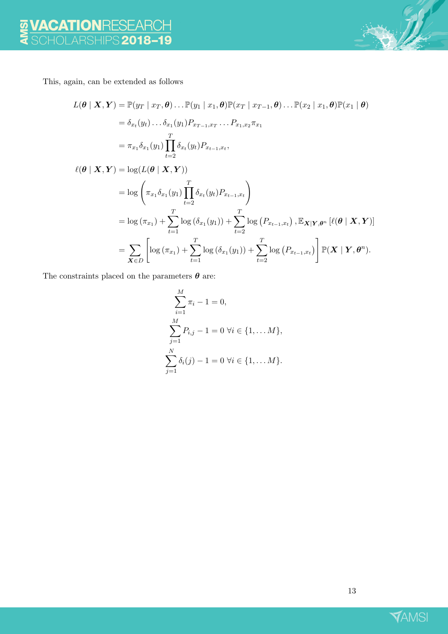

This, again, can be extended as follows

$$
L(\boldsymbol{\theta} \mid \boldsymbol{X}, \boldsymbol{Y}) = \mathbb{P}(y_T \mid x_T, \boldsymbol{\theta}) \dots \mathbb{P}(y_1 \mid x_1, \boldsymbol{\theta}) \mathbb{P}(x_T \mid x_{T-1}, \boldsymbol{\theta}) \dots \mathbb{P}(x_2 \mid x_1, \boldsymbol{\theta}) \mathbb{P}(x_1 \mid \boldsymbol{\theta})
$$
  
=  $\delta_{x_t}(y_t) \dots \delta_{x_1}(y_1) P_{x_{T-1}, x_T} \dots P_{x_1, x_2} \pi_{x_1}$   
=  $\pi_{x_1} \delta_{x_1}(y_1) \prod_{t=2}^T \delta_{x_t}(y_t) P_{x_{t-1}, x_t},$ 

$$
\ell(\theta | \mathbf{X}, \mathbf{Y}) = \log(L(\theta | \mathbf{X}, \mathbf{Y}))
$$
  
\n
$$
= \log \left( \pi_{x_1} \delta_{x_1}(y_1) \prod_{t=2}^T \delta_{x_t}(y_t) P_{x_{t-1}, x_t} \right)
$$
  
\n
$$
= \log(\pi_{x_1}) + \sum_{t=1}^T \log(\delta_{x_1}(y_1)) + \sum_{t=2}^T \log(P_{x_{t-1}, x_t}), \mathbb{E}_{\mathbf{X}|\mathbf{Y}, \theta^n} [\ell(\theta | \mathbf{X}, \mathbf{Y})]
$$
  
\n
$$
= \sum_{\mathbf{X} \in D} \left[ \log(\pi_{x_1}) + \sum_{t=1}^T \log(\delta_{x_1}(y_1)) + \sum_{t=2}^T \log(P_{x_{t-1}, x_t}) \right] \mathbb{P}(\mathbf{X} | \mathbf{Y}, \theta^n).
$$

The constraints placed on the parameters  $\boldsymbol{\theta}$  are:

$$
\sum_{i=1}^{M} \pi_i - 1 = 0,
$$
  
\n
$$
\sum_{j=1}^{M} P_{i,j} - 1 = 0 \ \forall i \in \{1, \dots M\},
$$
  
\n
$$
\sum_{j=1}^{N} \delta_i(j) - 1 = 0 \ \forall i \in \{1, \dots M\}.
$$

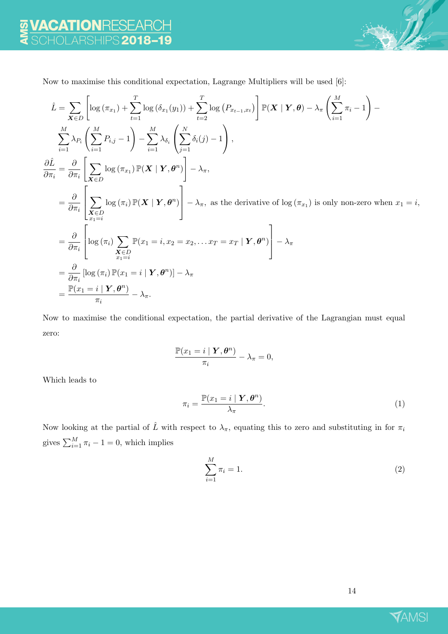

Now to maximise this conditional expectation, Lagrange Multipliers will be used [6]:

$$
\hat{L} = \sum_{\mathbf{X} \in D} \left[ \log (\pi_{x1}) + \sum_{t=1}^{T} \log (\delta_{x1}(y_1)) + \sum_{t=2}^{T} \log (P_{x_{t-1},x_t}) \right] \mathbb{P}(\mathbf{X} \mid \mathbf{Y}, \boldsymbol{\theta}) - \lambda_{\pi} \left( \sum_{i=1}^{M} \pi_{i} - 1 \right) - \sum_{i=1}^{M} \lambda_{P_{i}} \left( \sum_{i=1}^{M} P_{i,j} - 1 \right) - \sum_{i=1}^{M} \lambda_{\delta_{i}} \left( \sum_{j=1}^{N} \delta_{i}(j) - 1 \right),
$$
\n
$$
\frac{\partial \hat{L}}{\partial \pi_{i}} = \frac{\partial}{\partial \pi_{i}} \left[ \sum_{\mathbf{X} \in D} \log (\pi_{x1}) \mathbb{P}(\mathbf{X} \mid \mathbf{Y}, \boldsymbol{\theta}^{n}) \right] - \lambda_{\pi},
$$
\n
$$
= \frac{\partial}{\partial \pi_{i}} \left[ \sum_{\substack{\mathbf{X} \in D \\ x_{1} = i}} \log (\pi_{i}) \mathbb{P}(\mathbf{X} \mid \mathbf{Y}, \boldsymbol{\theta}^{n}) \right] - \lambda_{\pi}, \text{ as the derivative of } \log (\pi_{x1}) \text{ is only non-zero when } x_{1} = i,
$$
\n
$$
= \frac{\partial}{\partial \pi_{i}} \left[ \log (\pi_{i}) \sum_{\substack{\mathbf{X} \in D \\ x_{1} = i}} \mathbb{P}(x_{1} = i, x_{2} = x_{2}, \dots x_{T} = x_{T} \mid \mathbf{Y}, \boldsymbol{\theta}^{n}) \right] - \lambda_{\pi}
$$
\n
$$
= \frac{\partial}{\partial \pi_{i}} \left[ \log (\pi_{i}) \mathbb{P}(x_{1} = i \mid \mathbf{Y}, \boldsymbol{\theta}^{n}) \right] - \lambda_{\pi}
$$
\n
$$
= \frac{\mathbb{P}(x_{1} = i \mid \mathbf{Y}, \boldsymbol{\theta}^{n})}{\pi_{i}} - \lambda_{\pi}.
$$

Now to maximise the conditional expectation, the partial derivative of the Lagrangian must equal zero:

$$
\frac{\mathbb{P}(x_1=i \mid \boldsymbol{Y}, \boldsymbol{\theta}^n)}{\pi_i} - \lambda_{\pi} = 0,
$$

Which leads to

$$
\pi_i = \frac{\mathbb{P}(x_1 = i \mid \mathbf{Y}, \boldsymbol{\theta}^n)}{\lambda_{\pi}}.
$$
\n(1)

Now looking at the partial of  $\hat{L}$  with respect to  $\lambda_{\pi}$ , equating this to zero and substituting in for  $\pi_i$ gives  $\sum_{i=1}^{M} \pi_i - 1 = 0$ , which implies

$$
\sum_{i=1}^{M} \pi_i = 1.
$$
\n<sup>(2)</sup>



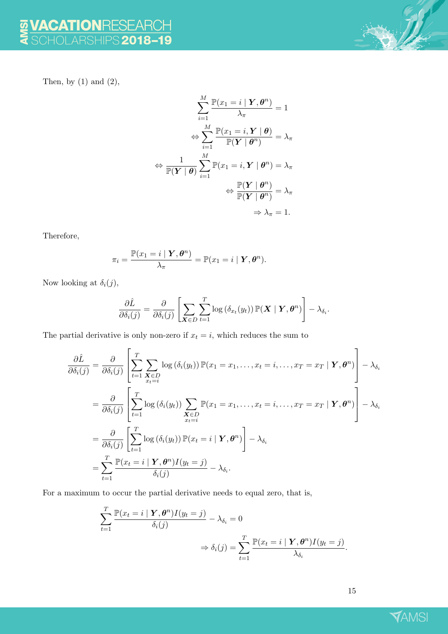SUL

Then, by  $(1)$  and  $(2)$ ,

$$
\sum_{i=1}^{M} \frac{\mathbb{P}(x_1 = i \mid \mathbf{Y}, \boldsymbol{\theta}^n)}{\lambda_{\pi}} = 1
$$

$$
\Leftrightarrow \sum_{i=1}^{M} \frac{\mathbb{P}(x_1 = i, \mathbf{Y} \mid \boldsymbol{\theta})}{\mathbb{P}(\mathbf{Y} \mid \boldsymbol{\theta}^n)} = \lambda_{\pi}
$$

$$
\Leftrightarrow \frac{1}{\mathbb{P}(\mathbf{Y} \mid \boldsymbol{\theta})} \sum_{i=1}^{M} \mathbb{P}(x_1 = i, \mathbf{Y} \mid \boldsymbol{\theta}^n) = \lambda_{\pi}
$$

$$
\Leftrightarrow \frac{\mathbb{P}(\mathbf{Y} \mid \boldsymbol{\theta}^n)}{\mathbb{P}(\mathbf{Y} \mid \boldsymbol{\theta}^n)} = \lambda_{\pi}
$$

$$
\Rightarrow \lambda_{\pi} = 1.
$$

Therefore,

$$
\pi_i = \frac{\mathbb{P}(x_1 = i \mid \boldsymbol{Y}, \boldsymbol{\theta}^n)}{\lambda_{\pi}} = \mathbb{P}(x_1 = i \mid \boldsymbol{Y}, \boldsymbol{\theta}^n).
$$

Now looking at  $\delta_i(j)$ ,

$$
\frac{\partial \hat{L}}{\partial \delta_i(j)} = \frac{\partial}{\partial \delta_i(j)} \left[ \sum_{\mathbf{X} \in D} \sum_{t=1}^T \log \left( \delta_{x_t}(y_t) \right) \mathbb{P}(\mathbf{X} \mid \mathbf{Y}, \boldsymbol{\theta}^n) \right] - \lambda_{\delta_i}.
$$

The partial derivative is only non-zero if  $x_t = i$ , which reduces the sum to

$$
\frac{\partial \hat{L}}{\partial \delta_i(j)} = \frac{\partial}{\partial \delta_i(j)} \left[ \sum_{t=1}^T \sum_{\substack{\mathbf{x} \in D \\ x_t=i}} \log \left( \delta_i(y_t) \right) \mathbb{P}(x_1 = x_1, \dots, x_t = i, \dots, x_T = x_T \mid \mathbf{Y}, \boldsymbol{\theta}^n) \right] - \lambda_{\delta_i}
$$
\n
$$
= \frac{\partial}{\partial \delta_i(j)} \left[ \sum_{t=1}^T \log \left( \delta_i(y_t) \right) \sum_{\substack{\mathbf{x} \in D \\ x_t=i}} \mathbb{P}(x_1 = x_1, \dots, x_t = i, \dots, x_T = x_T \mid \mathbf{Y}, \boldsymbol{\theta}^n) \right] - \lambda_{\delta_i}
$$
\n
$$
= \frac{\partial}{\partial \delta_i(j)} \left[ \sum_{t=1}^T \log \left( \delta_i(y_t) \right) \mathbb{P}(x_t = i \mid \mathbf{Y}, \boldsymbol{\theta}^n) \right] - \lambda_{\delta_i}
$$
\n
$$
= \sum_{t=1}^T \frac{\mathbb{P}(x_t = i \mid \mathbf{Y}, \boldsymbol{\theta}^n) I(y_t = j)}{\delta_i(j)} - \lambda_{\delta_i}.
$$

For a maximum to occur the partial derivative needs to equal zero, that is,

$$
\sum_{t=1}^{T} \frac{\mathbb{P}(x_t = i \mid \boldsymbol{Y}, \boldsymbol{\theta}^n) I(y_t = j)}{\delta_i(j)} - \lambda_{\delta_i} = 0
$$
  

$$
\Rightarrow \delta_i(j) = \sum_{t=1}^{T} \frac{\mathbb{P}(x_t = i \mid \boldsymbol{Y}, \boldsymbol{\theta}^n) I(y_t = j)}{\lambda_{\delta_i}}.
$$

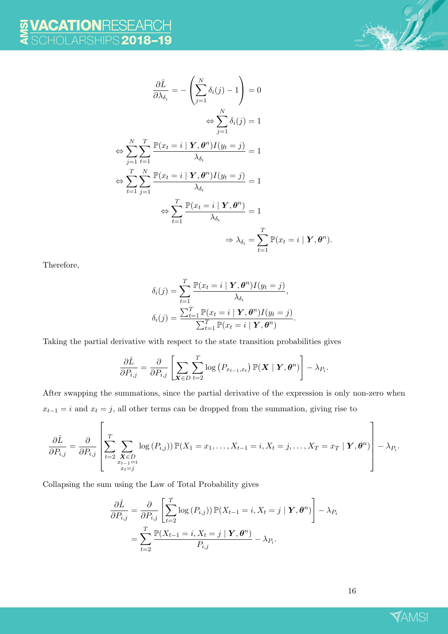

$$
\frac{\partial \hat{L}}{\partial \lambda_{\delta_i}} = -\left(\sum_{j=1}^N \delta_i(j) - 1\right) = 0
$$
  
\n
$$
\Leftrightarrow \sum_{j=1}^N \delta_i(j) = 1
$$
  
\n
$$
\Leftrightarrow \sum_{j=1}^N \sum_{t=1}^T \frac{\mathbb{P}(x_t = i \mid \mathbf{Y}, \boldsymbol{\theta}^n) I(y_t = j)}{\lambda_{\delta_i}} = 1
$$
  
\n
$$
\Leftrightarrow \sum_{t=1}^T \sum_{j=1}^N \frac{\mathbb{P}(x_t = i \mid \mathbf{Y}, \boldsymbol{\theta}^n) I(y_t = j)}{\lambda_{\delta_i}} = 1
$$
  
\n
$$
\Leftrightarrow \sum_{t=1}^T \frac{\mathbb{P}(x_t = i \mid \mathbf{Y}, \boldsymbol{\theta}^n)}{\lambda_{\delta_i}} = 1
$$
  
\n
$$
\Rightarrow \lambda_{\delta_i} = \sum_{t=1}^T \mathbb{P}(x_t = i \mid \mathbf{Y}, \boldsymbol{\theta}^n) = \sum_{t=1}^T \mathbb{P}(x_t = i \mid \mathbf{Y}, \boldsymbol{\theta}^n) = \sum_{t=1}^T \mathbb{P}(x_t = i \mid \mathbf{Y}, \boldsymbol{\theta}^n) = \sum_{t=1}^T \mathbb{P}(x_t = i \mid \mathbf{Y}, \boldsymbol{\theta}^n) = \sum_{t=1}^T \mathbb{P}(x_t = i \mid \mathbf{Y}, \boldsymbol{\theta}^n) = \sum_{t=1}^T \mathbb{P}(x_t = i \mid \mathbf{Y}, \boldsymbol{\theta}^n) = \sum_{t=1}^T \mathbb{P}(x_t = i \mid \mathbf{Y}, \boldsymbol{\theta}^n) = \sum_{t=1}^T \mathbb{P}(x_t = i \mid \mathbf{Y}, \boldsymbol{\theta}^n) = \sum_{t=1}^T \mathbb{P}(x_t = i \mid \mathbf{Y}, \boldsymbol{\theta}^n) = \sum_{t=1}^T \mathbb{P}(x_t = i \mid \mathbf{Y}, \boldsymbol{\theta}^n) = \sum_{t=1}^T \mathbb{P}(x_t = i \mid \mathbf{Y}, \boldsymbol{\theta}^n) = \sum_{t=1}^T \mathbb{P}(x_t = i \mid \mathbf{Y}, \boldsymbol{\theta
$$

Therefore,

$$
\delta_i(j) = \sum_{t=1}^T \frac{\mathbb{P}(x_t = i \mid \mathbf{Y}, \boldsymbol{\theta}^n) I(y_t = j)}{\lambda_{\delta_i}},
$$

$$
\delta_i(j) = \frac{\sum_{t=1}^T \mathbb{P}(x_t = i \mid \mathbf{Y}, \boldsymbol{\theta}^n) I(y_t = j)}{\sum_{t=1}^T \mathbb{P}(x_t = i \mid \mathbf{Y}, \boldsymbol{\theta}^n)}.
$$

Taking the partial derivative with respect to the state transition probabilities gives

$$
\frac{\partial \hat{L}}{\partial P_{i,j}} = \frac{\partial}{\partial P_{i,j}} \left[ \sum_{\mathbf{X} \in D} \sum_{t=2}^T \log \left( P_{x_{t-1},x_t} \right) \mathbb{P}(\mathbf{X} \mid \mathbf{Y}, \boldsymbol{\theta}^n) \right] - \lambda_{P_i}.
$$

After swapping the summations, since the partial derivative of the expression is only non-zero when  $x_{t-1} = i$  and  $x_t = j$ , all other terms can be dropped from the summation, giving rise to

$$
\frac{\partial \hat{L}}{\partial P_{i,j}} = \frac{\partial}{\partial P_{i,j}} \left[ \sum_{\substack{t=2 \\ t=2}}^T \sum_{\substack{\mathbf{X} \in D \\ x_{t-1} = i \\ x_t = j}} \log(P_{i,j}) \right] \mathbb{P}(X_1 = x_1, \dots, X_{t-1} = i, X_t = j, \dots, X_T = x_T \mid \mathbf{Y}, \boldsymbol{\theta}^n) \right] - \lambda_{P_i}.
$$

Collapsing the sum using the Law of Total Probability gives

$$
\frac{\partial \hat{L}}{\partial P_{i,j}} = \frac{\partial}{\partial P_{i,j}} \left[ \sum_{t=2}^{T} \log(P_{i,j}) \right] \mathbb{P}(X_{t-1} = i, X_t = j \mid \mathbf{Y}, \boldsymbol{\theta}^n) \right] - \lambda_{P_i}
$$

$$
= \sum_{t=2}^{T} \frac{\mathbb{P}(X_{t-1} = i, X_t = j \mid \mathbf{Y}, \boldsymbol{\theta}^n)}{P_{i,j}} - \lambda_{P_i}.
$$

 $\binom{n}{k}$ .

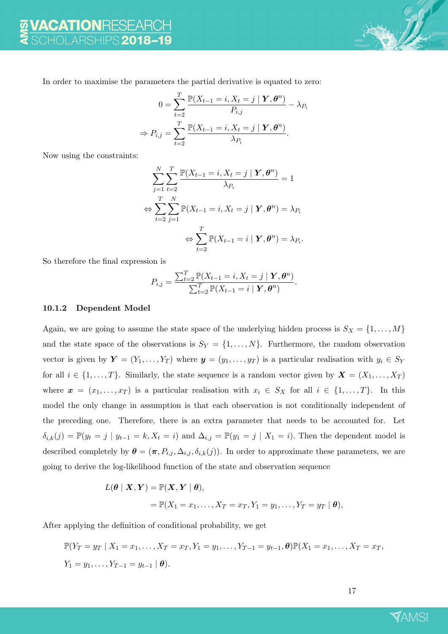

In order to maximise the parameters the partial derivative is equated to zero:

$$
0 = \sum_{t=2}^{T} \frac{\mathbb{P}(X_{t-1} = i, X_t = j \mid \boldsymbol{Y}, \boldsymbol{\theta}^n)}{P_{i,j}} - \lambda_{P_i}
$$

$$
\Rightarrow P_{i,j} = \sum_{t=2}^{T} \frac{\mathbb{P}(X_{t-1} = i, X_t = j \mid \boldsymbol{Y}, \boldsymbol{\theta}^n)}{\lambda_{P_i}}.
$$

Now using the constraints:

$$
\sum_{j=1}^{N} \sum_{t=2}^{T} \frac{\mathbb{P}(X_{t-1} = i, X_t = j \mid \mathbf{Y}, \boldsymbol{\theta}^n)}{\lambda_{P_i}} = 1
$$
  
\n
$$
\Leftrightarrow \sum_{t=2}^{T} \sum_{j=1}^{N} \mathbb{P}(X_{t-1} = i, X_t = j \mid \mathbf{Y}, \boldsymbol{\theta}^n) = \lambda_{P_i}
$$
  
\n
$$
\Leftrightarrow \sum_{t=2}^{T} \mathbb{P}(X_{t-1} = i \mid \mathbf{Y}, \boldsymbol{\theta}^n) = \lambda_{P_i}.
$$

So therefore the final expression is

$$
P_{i,j} = \frac{\sum_{t=2}^{T} \mathbb{P}(X_{t-1} = i, X_t = j \mid \mathbf{Y}, \boldsymbol{\theta}^n)}{\sum_{t=2}^{T} \mathbb{P}(X_{t-1} = i \mid \mathbf{Y}, \boldsymbol{\theta}^n)}.
$$

#### 10.1.2 Dependent Model

Again, we are going to assume the state space of the underlying hidden process is  $S_X = \{1, \ldots, M\}$ and the state space of the observations is  $S_Y = \{1, \ldots, N\}$ . Furthermore, the random observation vector is given by  $Y = (Y_1, \ldots, Y_T)$  where  $y = (y_1, \ldots, y_T)$  is a particular realisation with  $y_i \in S_Y$ for all  $i \in \{1, \ldots, T\}$ . Similarly, the state sequence is a random vector given by  $\mathbf{X} = (X_1, \ldots, X_T)$ where  $x = (x_1, \ldots, x_T)$  is a particular realisation with  $x_i \in S_X$  for all  $i \in \{1, \ldots, T\}$ . In this model the only change in assumption is that each observation is not conditionally independent of the preceding one. Therefore, there is an extra parameter that needs to be accounted for. Let  $\delta_{i,k}(j) = \mathbb{P}(y_t = j \mid y_{t-1} = k, X_t = i)$  and  $\Delta_{i,j} = \mathbb{P}(y_1 = j \mid X_1 = i)$ . Then the dependent model is described completely by  $\boldsymbol{\theta} = (\boldsymbol{\pi}, P_{i,j}, \Delta_{i,j}, \delta_{i,k}(j))$ . In order to approximate these parameters, we are going to derive the log-likelihood function of the state and observation sequence

$$
L(\boldsymbol{\theta} \mid \boldsymbol{X}, \boldsymbol{Y}) = \mathbb{P}(\boldsymbol{X}, \boldsymbol{Y} \mid \boldsymbol{\theta}),
$$
  
=  $\mathbb{P}(X_1 = x_1, \dots, X_T = x_T, Y_1 = y_1, \dots, Y_T = y_T \mid \boldsymbol{\theta}),$ 

After applying the definition of conditional probability, we get

$$
\mathbb{P}(Y_T = y_T \mid X_1 = x_1, \dots, X_T = x_T, Y_1 = y_1, \dots, Y_{T-1} = y_{t-1}, \boldsymbol{\theta}) \mathbb{P}(X_1 = x_1, \dots, X_T = x_T,
$$
  
 
$$
Y_1 = y_1, \dots, Y_{T-1} = y_{t-1} \mid \boldsymbol{\theta}).
$$

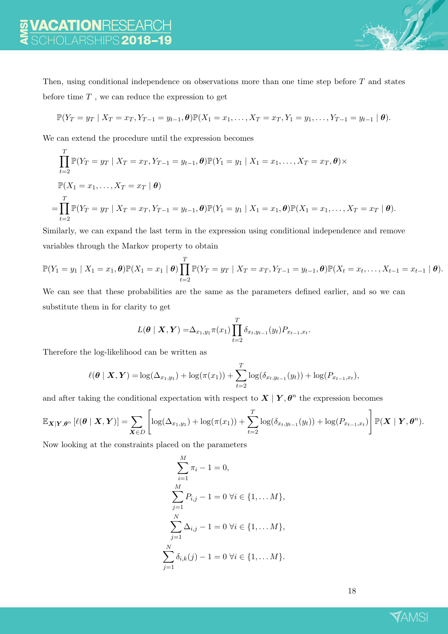Then, using conditional independence on observations more than one time step before  $T$  and states before time  $T$ , we can reduce the expression to get

$$
\mathbb{P}(Y_T = y_T \mid X_T = x_T, Y_{T-1} = y_{t-1}, \theta) \mathbb{P}(X_1 = x_1, \dots, X_T = x_T, Y_1 = y_1, \dots, Y_{T-1} = y_{t-1} \mid \theta).
$$

We can extend the procedure until the expression becomes

$$
\prod_{t=2}^{T} \mathbb{P}(Y_T = y_T | X_T = x_T, Y_{T-1} = y_{t-1}, \theta) \mathbb{P}(Y_1 = y_1 | X_1 = x_1, ..., X_T = x_T, \theta) \times
$$
  
\n
$$
\mathbb{P}(X_1 = x_1, ..., X_T = x_T | \theta)
$$
  
\n
$$
= \prod_{t=2}^{T} \mathbb{P}(Y_T = y_T | X_T = x_T, Y_{T-1} = y_{t-1}, \theta) \mathbb{P}(Y_1 = y_1 | X_1 = x_1, \theta) \mathbb{P}(X_1 = x_1, ..., X_T = x_T | \theta).
$$

Similarly, we can expand the last term in the expression using conditional independence and remove variables through the Markov property to obtain

$$
\mathbb{P}(Y_1 = y_1 \mid X_1 = x_1, \boldsymbol{\theta}) \mathbb{P}(X_1 = x_1 \mid \boldsymbol{\theta}) \prod_{t=2}^T \mathbb{P}(Y_T = y_T \mid X_T = x_T, Y_{T-1} = y_{t-1}, \boldsymbol{\theta}) \mathbb{P}(X_t = x_t, \ldots, X_{t-1} = x_{t-1} \mid \boldsymbol{\theta}).
$$

We can see that these probabilities are the same as the parameters defined earlier, and so we can substitute them in for clarity to get

$$
L(\boldsymbol{\theta} \mid \boldsymbol{X}, \boldsymbol{Y}) = \Delta_{x_1, y_1} \pi(x_1) \prod_{t=2}^T \delta_{x_t, y_{t-1}}(y_t) P_{x_{t-1}, x_t}.
$$

Therefore the log-likelihood can be written as

$$
\ell(\boldsymbol{\theta} \mid \boldsymbol{X}, \boldsymbol{Y}) = \log(\Delta_{x_1, y_1}) + \log(\pi(x_1)) + \sum_{t=2}^T \log(\delta_{x_t, y_{t-1}}(y_t)) + \log(P_{x_{t-1}, x_t}),
$$

and after taking the conditional expectation with respect to  $X | Y, \theta^n$  the expression becomes

$$
\mathbb{E}_{\mathbf{X}|\mathbf{Y},\boldsymbol{\theta}^n} \left[ \ell(\boldsymbol{\theta} \mid \mathbf{X}, \mathbf{Y}) \right] = \sum_{\mathbf{X} \in D} \left[ \log(\Delta_{x_1,y_1}) + \log(\pi(x_1)) + \sum_{t=2}^T \log(\delta_{x_t,y_{t-1}}(y_t)) + \log(P_{x_{t-1},x_t}) \right] \mathbb{P}(\mathbf{X} \mid \mathbf{Y}, \boldsymbol{\theta}^n).
$$

Now looking at the constraints placed on the parameters

$$
\sum_{i=1}^{M} \pi_i - 1 = 0,
$$
  
\n
$$
\sum_{j=1}^{M} P_{i,j} - 1 = 0 \ \forall i \in \{1, \dots M\},
$$
  
\n
$$
\sum_{j=1}^{N} \Delta_{i,j} - 1 = 0 \ \forall i \in \{1, \dots M\},
$$
  
\n
$$
\sum_{j=1}^{N} \delta_{i,k}(j) - 1 = 0 \ \forall i \in \{1, \dots M\}.
$$

18

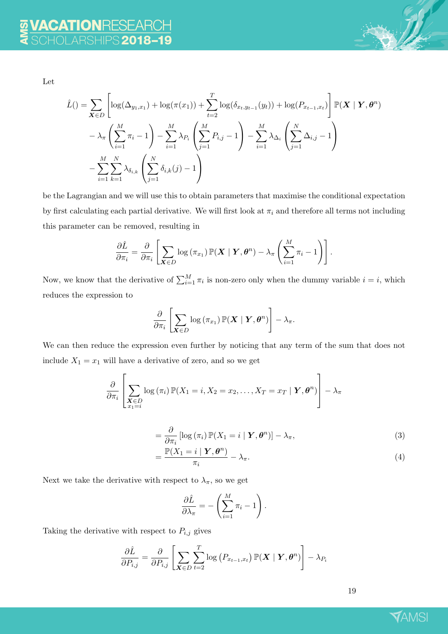

Let

$$
\hat{L}() = \sum_{\mathbf{X} \in D} \left[ \log(\Delta_{y_1, x_1}) + \log(\pi(x_1)) + \sum_{t=2}^{T} \log(\delta_{x_t, y_{t-1}}(y_t)) + \log(P_{x_{t-1}, x_t}) \right] \mathbb{P}(\mathbf{X} \mid \mathbf{Y}, \boldsymbol{\theta}^n) \n- \lambda_{\pi} \left( \sum_{i=1}^{M} \pi_i - 1 \right) - \sum_{i=1}^{M} \lambda_{P_i} \left( \sum_{j=1}^{M} P_{i,j} - 1 \right) - \sum_{i=1}^{M} \lambda_{\Delta_i} \left( \sum_{j=1}^{N} \Delta_{i,j} - 1 \right) \n- \sum_{i=1}^{M} \sum_{k=1}^{N} \lambda_{\delta_{i,k}} \left( \sum_{j=1}^{N} \delta_{i,k}(j) - 1 \right)
$$

be the Lagrangian and we will use this to obtain parameters that maximise the conditional expectation by first calculating each partial derivative. We will first look at  $\pi_i$  and therefore all terms not including this parameter can be removed, resulting in

$$
\frac{\partial \hat{L}}{\partial \pi_i} = \frac{\partial}{\partial \pi_i} \left[ \sum_{\mathbf{X} \in D} \log \left( \pi_{x_1} \right) \mathbb{P}(\mathbf{X} \mid \mathbf{Y}, \boldsymbol{\theta}^n) - \lambda_{\pi} \left( \sum_{i=1}^M \pi_i - 1 \right) \right].
$$

Now, we know that the derivative of  $\sum_{i=1}^{M} \pi_i$  is non-zero only when the dummy variable  $i = i$ , which reduces the expression to

$$
\frac{\partial}{\partial \pi_i} \left[ \sum_{\boldsymbol X \in D} \log \left(\pi_{x_1}\right) \mathbb{P}(\boldsymbol X \mid \boldsymbol Y, \boldsymbol \theta^n) \right] - \lambda_{\pi}.
$$

We can then reduce the expression even further by noticing that any term of the sum that does not include  $X_1 = x_1$  will have a derivative of zero, and so we get

$$
\frac{\partial}{\partial \pi_i} \left[ \sum_{\substack{\mathbf{X} \in D \\ x_1 = i}} \log \left( \pi_i \right) \mathbb{P}(X_1 = i, X_2 = x_2, \dots, X_T = x_T \mid \mathbf{Y}, \boldsymbol{\theta}^n) \right] - \lambda_{\pi}
$$

$$
= \frac{\partial}{\partial \pi_i} \left[ \log \left( \pi_i \right) \mathbb{P}(X_1 = i \mid \boldsymbol{Y}, \boldsymbol{\theta}^n) \right] - \lambda_{\pi}, \tag{3}
$$

$$
= \frac{\mathbb{P}(X_1 = i \mid \boldsymbol{Y}, \boldsymbol{\theta}^n)}{\pi_i} - \lambda_{\pi}.
$$
\n(4)

Next we take the derivative with respect to  $\lambda_{\pi}$ , so we get

$$
\frac{\partial \hat{L}}{\partial \lambda_{\pi}} = -\left(\sum_{i=1}^{M} \pi_i - 1\right).
$$

Taking the derivative with respect to  $P_{i,j}$  gives

$$
\frac{\partial \hat{L}}{\partial P_{i,j}} = \frac{\partial}{\partial P_{i,j}} \left[ \sum_{\mathbf{X} \in D} \sum_{t=2}^{T} \log \left( P_{x_{t-1},x_t} \right) \mathbb{P}(\mathbf{X} \mid \mathbf{Y}, \boldsymbol{\theta}^n) \right] - \lambda_{P_i}
$$

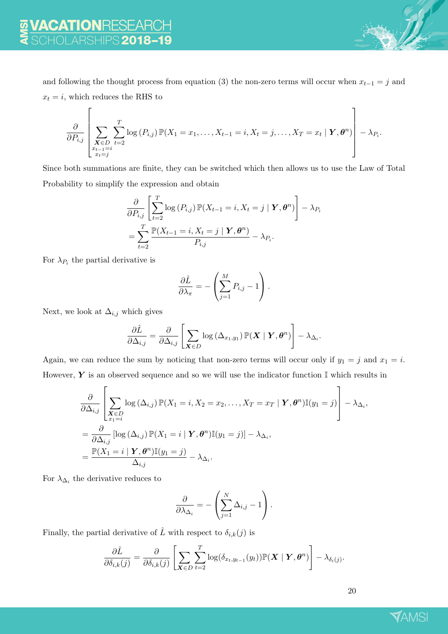and following the thought process from equation (3) the non-zero terms will occur when  $x_{t-1} = j$  and  $x_t = i$ , which reduces the RHS to

$$
\frac{\partial}{\partial P_{i,j}}\left[\sum_{\substack{\mathbf{X}\in D\\x_{t-1}=i}}\sum_{t=2}^T \log(P_{i,j})\,\mathbb{P}(X_1=x_1,\ldots,X_{t-1}=i,X_t=j,\ldots,X_T=x_t\mid \mathbf{Y},\boldsymbol{\theta}^n)\right]-\lambda_{P_i}.
$$

Since both summations are finite, they can be switched which then allows us to use the Law of Total Probability to simplify the expression and obtain

$$
\frac{\partial}{\partial P_{i,j}} \left[ \sum_{t=2}^{T} \log \left( P_{i,j} \right) \mathbb{P}(X_{t-1} = i, X_t = j \mid \boldsymbol{Y}, \boldsymbol{\theta}^n) \right] - \lambda_{P_i}
$$
\n
$$
= \sum_{t=2}^{T} \frac{\mathbb{P}(X_{t-1} = i, X_t = j \mid \boldsymbol{Y}, \boldsymbol{\theta}^n)}{P_{i,j}} - \lambda_{P_i}.
$$

For  $\lambda_{P_i}$  the partial derivative is

$$
\frac{\partial \hat{L}}{\partial \lambda_{\pi}} = -\left(\sum_{j=1}^{M} P_{i,j} - 1\right).
$$

Next, we look at  $\Delta_{i,j}$  which gives

$$
\frac{\partial \hat{L}}{\partial \Delta_{i,j}} = \frac{\partial}{\partial \Delta_{i,j}} \left[ \sum_{\mathbf{X} \in D} \log \left( \Delta_{x_1, y_1} \right) \mathbb{P}(\mathbf{X} \mid \mathbf{Y}, \boldsymbol{\theta}^n) \right] - \lambda_{\Delta_i}.
$$

Again, we can reduce the sum by noticing that non-zero terms will occur only if  $y_1 = j$  and  $x_1 = i$ . However,  $Y$  is an observed sequence and so we will use the indicator function  $\mathbb I$  which results in

$$
\frac{\partial}{\partial \Delta_{i,j}} \left[ \sum_{\substack{\mathbf{X} \in D \\ x_1 = i}} \log (\Delta_{i,j}) \mathbb{P}(X_1 = i, X_2 = x_2, \dots, X_T = x_T | \mathbf{Y}, \theta^n) \mathbb{I}(y_1 = j) \right] - \lambda_{\Delta_i},
$$
\n
$$
= \frac{\partial}{\partial \Delta_{i,j}} \left[ \log (\Delta_{i,j}) \mathbb{P}(X_1 = i | \mathbf{Y}, \theta^n) \mathbb{I}(y_1 = j) \right] - \lambda_{\Delta_i},
$$
\n
$$
= \frac{\mathbb{P}(X_1 = i | \mathbf{Y}, \theta^n) \mathbb{I}(y_1 = j)}{\Delta_{i,j}} - \lambda_{\Delta_i}.
$$

For  $\lambda_{\Delta_i}$  the derivative reduces to

$$
\frac{\partial}{\partial \lambda_{\Delta_i}} = -\left(\sum_{j=1}^N \Delta_{i,j} - 1\right).
$$

Finally, the partial derivative of  $\hat{L}$  with respect to  $\delta_{i,k}(j)$  is

$$
\frac{\partial \hat{L}}{\partial \delta_{i,k}(j)} = \frac{\partial}{\partial \delta_{i,k}(j)} \left[ \sum_{\mathbf{X} \in D} \sum_{t=2}^T \log(\delta_{x_t, y_{t-1}}(y_t)) \mathbb{P}(\mathbf{X} \mid \mathbf{Y}, \boldsymbol{\theta}^n) \right] - \lambda_{\delta_i(j)}.
$$

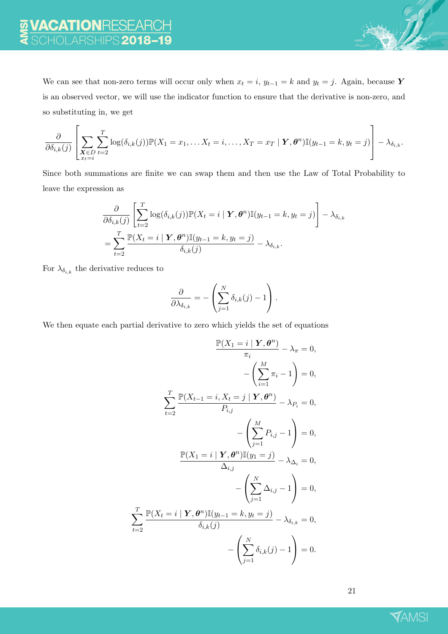We can see that non-zero terms will occur only when  $x_t = i$ ,  $y_{t-1} = k$  and  $y_t = j$ . Again, because Y is an observed vector, we will use the indicator function to ensure that the derivative is non-zero, and so substituting in, we get

$$
\frac{\partial}{\partial \delta_{i,k}(j)} \left[ \sum_{\substack{\mathbf{X} \in D \\ x_t = i}} \sum_{t=2}^T \log(\delta_{i,k}(j)) \mathbb{P}(X_1 = x_1, \dots, X_t = i, \dots, X_T = x_T \mid \mathbf{Y}, \boldsymbol{\theta}^n) \mathbb{I}(y_{t-1} = k, y_t = j) \right] - \lambda_{\delta_{i,k}}.
$$

Since both summations are finite we can swap them and then use the Law of Total Probability to leave the expression as

$$
\frac{\partial}{\partial \delta_{i,k}(j)} \left[ \sum_{t=2}^T \log(\delta_{i,k}(j)) \mathbb{P}(X_t = i \mid \mathbf{Y}, \boldsymbol{\theta}^n) \mathbb{I}(y_{t-1} = k, y_t = j) \right] - \lambda_{\delta_{i,k}}
$$
\n
$$
= \sum_{t=2}^T \frac{\mathbb{P}(X_t = i \mid \mathbf{Y}, \boldsymbol{\theta}^n) \mathbb{I}(y_{t-1} = k, y_t = j)}{\delta_{i,k}(j)} - \lambda_{\delta_{i,k}}.
$$

For  $\lambda_{\delta_{i,k}}$  the derivative reduces to

T

$$
\frac{\partial}{\partial \lambda_{\delta_{i,k}}} = -\left(\sum_{j=1}^N \delta_{i,k}(j) - 1\right).
$$

We then equate each partial derivative to zero which yields the set of equations

$$
\frac{\mathbb{P}(X_1 = i \mid \mathbf{Y}, \theta^n)}{\pi_i} - \lambda_{\pi} = 0,
$$
  

$$
-\left(\sum_{i=1}^M \pi_i - 1\right) = 0,
$$
  

$$
\sum_{t=2}^T \frac{\mathbb{P}(X_{t-1} = i, X_t = j \mid \mathbf{Y}, \theta^n)}{P_{i,j}} - \lambda_{P_i} = 0,
$$
  

$$
-\left(\sum_{j=1}^M P_{i,j} - 1\right) = 0,
$$
  

$$
\frac{\mathbb{P}(X_1 = i \mid \mathbf{Y}, \theta^n)\mathbb{I}(y_1 = j)}{\Delta_{i,j}} - \lambda_{\Delta_i} = 0,
$$
  

$$
-\left(\sum_{j=1}^N \Delta_{i,j} - 1\right) = 0,
$$
  

$$
\sum_{t=2}^T \frac{\mathbb{P}(X_t = i \mid \mathbf{Y}, \theta^n)\mathbb{I}(y_{t-1} = k, y_t = j)}{\delta_{i,k}(j)} - \lambda_{\delta_{i,k}} = 0,
$$
  

$$
-\left(\sum_{j=1}^N \delta_{i,k}(j) - 1\right) = 0.
$$

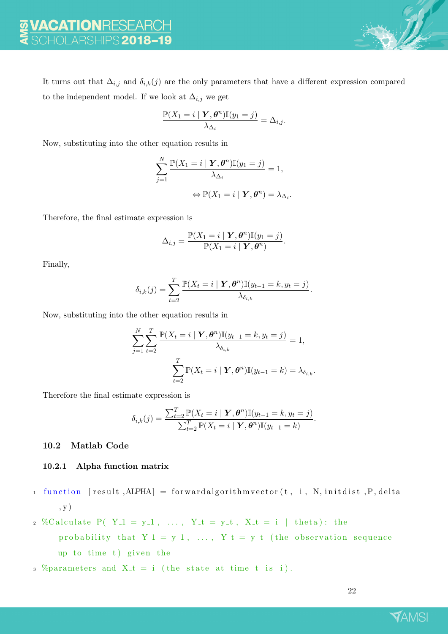It turns out that  $\Delta_{i,j}$  and  $\delta_{i,k}(j)$  are the only parameters that have a different expression compared to the independent model. If we look at  $\Delta_{i,j}$  we get

$$
\frac{\mathbb{P}(X_1=i \mid \boldsymbol{Y}, \boldsymbol{\theta}^n) \mathbb{I}(y_1=j)}{\lambda_{\Delta_i}} = \Delta_{i,j}.
$$

Now, substituting into the other equation results in

$$
\sum_{j=1}^{N} \frac{\mathbb{P}(X_1 = i \mid \mathbf{Y}, \boldsymbol{\theta}^n) \mathbb{I}(y_1 = j)}{\lambda_{\Delta_i}} = 1,
$$
  

$$
\Leftrightarrow \mathbb{P}(X_1 = i \mid \mathbf{Y}, \boldsymbol{\theta}^n) = \lambda_{\Delta_i}.
$$

Therefore, the final estimate expression is

$$
\Delta_{i,j} = \frac{\mathbb{P}(X_1 = i \mid \boldsymbol{Y}, \boldsymbol{\theta}^n) \mathbb{I}(y_1 = j)}{\mathbb{P}(X_1 = i \mid \boldsymbol{Y}, \boldsymbol{\theta}^n)}.
$$

Finally,

$$
\delta_{i,k}(j) = \sum_{t=2}^T \frac{\mathbb{P}(X_t = i \mid \boldsymbol{Y}, \boldsymbol{\theta}^n) \mathbb{I}(y_{t-1} = k, y_t = j)}{\lambda_{\delta_{i,k}}}.
$$

Now, substituting into the other equation results in

$$
\sum_{j=1}^{N} \sum_{t=2}^{T} \frac{\mathbb{P}(X_t = i \mid \mathbf{Y}, \boldsymbol{\theta}^n) \mathbb{I}(y_{t-1} = k, y_t = j)}{\lambda_{\delta_{i,k}}} = 1,
$$

$$
\sum_{t=2}^{T} \mathbb{P}(X_t = i \mid \mathbf{Y}, \boldsymbol{\theta}^n) \mathbb{I}(y_{t-1} = k) = \lambda_{\delta_{i,k}}.
$$

Therefore the final estimate expression is

$$
\delta_{i,k}(j) = \frac{\sum_{t=2}^{T} \mathbb{P}(X_t = i \mid \mathbf{Y}, \boldsymbol{\theta}^n) \mathbb{I}(y_{t-1} = k, y_t = j)}{\sum_{t=2}^{T} \mathbb{P}(X_t = i \mid \mathbf{Y}, \boldsymbol{\theta}^n) \mathbb{I}(y_{t-1} = k)}.
$$

#### 10.2 Matlab Code

#### 10.2.1 Alpha function matrix

- $1$  function  $[result, ALPHA] = forward algorithm vector(t, i, N, initialist, P, delta)$ , y )
- 2 %Calculate P( $Y_1 = y_1, \ldots, Y_t = y_t, X_t = i \text{ [theta]}$ ; the probability that  $Y_{-}1 = y_{-}1$ , ...,  $Y_{-}t = y_{-}t$  (the observation sequence up to time  $t$ ) given the
- 3 % parameters and  $X_t = i$  (the state at time t is i).

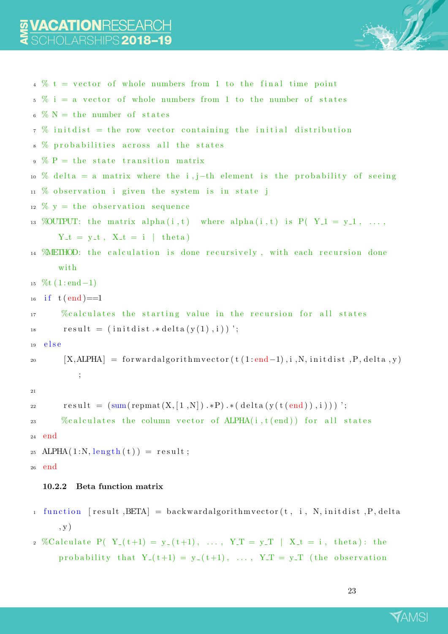

```
4 \t% t = vector of whole numbers from 1 to the final time point5\% i = a vector of whole numbers from 1 to the number of states
\frac{6}{6} \% N = the number of states
7 \t% init dist = the row vector containing the initial distribution
8 % probabilities across all the states
9 \text{ } \% P = the state transition matrix
10 % delta = a matrix where the i, j–th element is the probability of seeing
11 \t% observation i given the system is in state j
12 \frac{\%}{\%} y = the observation sequence
13 % OUTPUT: the matrix alpha(i, t) where alpha(i, t) is P(Y_1 = y_1, \ldots,Y_t = y_t, X_t = i \mid theta)14 WHETHOD: the calculation is done recursively, with each recursion done
      with
15 \, %/6t (1:end-1)_{16} if t (end)==1
17 % calculates the starting value in the recursion for all states
result = (initdist. * delta(y(1), i));
19 e se
20 [X, A LPHA] = forward algorithm vector(t (1: end-1), i, N, initialist, P, delta, y);
21
r e sult = (\text{sum}(\text{repmat}(X, [1, N]) \cdot *P) \cdot * (\text{delta}(y(t(\text{end})), i)));
\% calculates the column vector of ALPHA(i, t(end)) for all states
24 end
25 ALPHA(1:N, length(t)) = result;26 end
  10.2.2 Beta function matrix
1 function [result, BETA] = backward algorithm vector (t, i, N, \text{initial}, P, delta
```
, y ) 2 %Calculate P(  $Y_{-}(t+1) = y_{-}(t+1)$ , ...,  $Y_{-}T = y_{-}T$  |  $X_{-}t = i$ , theta): the probability that  $Y_{-}(t+1) = y_{-}(t+1)$ , ...,  $Y_{-}T = y_{-}T$  (the observation

23

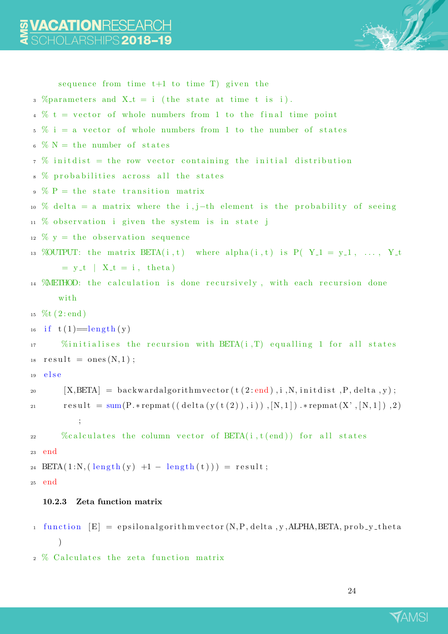

```
sequence from time t+1 to time T) given the
3 % parameters and X_t = i (the state at time t is i).
4\% t = vector of whole numbers from 1 to the final time point
5\% i = a vector of whole numbers from 1 to the number of states
 \% N = the number of states
7 \t% init dist = the row vector containing the initial distribution
8 % probabilities across all the states
9 \text{ } \% P = the state transition matrix
10 % delta = a matrix where the i, j–th element is the probability of seeing
11 \t% observation i given the system is in state j
12 \frac{\%}{\%} y = the observation sequence
13 %OUTPUT: the matrix BETA(i, t) where alpha(i, t) is P(Y<sub>-1</sub> = y<sub>-1</sub>, ..., Y<sub>-</sub>t
       = y_t | X_t = i, theta)
14 WHETHOD: the calculation is done recursively, with each recursion done
      with
15 \; \%t (2:end)16 if t(1) = \text{length}(y)\frac{1}{17} %initialises the recursion with BETA(i,T) equalling 1 for all states
result = ones (N, 1);
19 e l s e
20 [X, BETA] = backward algorithm vector(t(2:end), i, N, initialist, P, delta, y);r e sult = sum(P. * repmat ((delta (y(t(2)), i)), [N, 1]). * repmat(X', [N, 1]), 2)
          ;
\% calculates the column vector of BETA(i, t (end)) for all states
23 end
24 BETA(1:N, (\text{length}(y) +1 - \text{length}(t))) = \text{result};25 end
  10.2.3 Zeta function matrix
1 function [E] = epsilonalgorithm vector (N, P, delta, y, ALPHA, BETA, prob.y theta
```
)

```
2 % Calculates the zeta function matrix
```
24

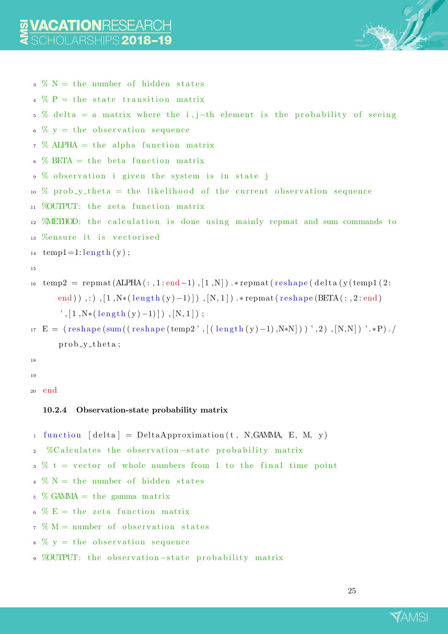

```
3 \% N = the number of hidden states
```
 $4\%$  P = the state transition matrix

```
5\% delta = a matrix where the i, j–th element is the probability of seeing
```
- $\frac{6}{6}$  % y = the observation sequence
- $\frac{7}{2}$  % ALPHA = the alpha function matrix
- $8\%$  BETA = the beta function matrix
- $9 \%$  observation i given the system is in state j
- 10 % prob\_y\_theta = the likelihood of the current observation sequence
- 11 % OUTPUT: the zeta function matrix
- $12$  *METHOD:* the calculation is done using mainly repmat and sum commands to
- 13 %ensure it is vectorised

 $_{14}$  temp1=1: length (y);

```
15
```
- $16$  temp2 = repmat(ALPHA(:,1:end-1), [1,N]). \* repmat(reshape(delta(y(temp1(2: end)),:  $\left(1, N*(\text{length}(y)-1)\right)$ ,  $[N, 1]$  .\*repmat(reshape (BETA(:,2:end)  $\langle$ , [1,N\*(length(y)-1)]), [N, 1]);
- $_{17}$  E = ( $\text{reshape}(\text{sum}((\text{reshape}(\text{temp2}',[(\text{length}(y)-1),N*N]))', 2), [N,N])', *P)$ .  $prob_v_t$  theta;
- 18

19

<sup>20</sup> end

## 10.2.4 Observation-state probability matrix

```
1 function \lceil \text{delta} \rceil = \text{DeltaApproximation}(t, N, GAMMA, E, M, y)2 %C alculates the observation-state probability matrix
```

```
3 \frac{6}{10} t = vector of whole numbers from 1 to the final time point
```
- $4 \% N =$  the number of hidden states
- $\frac{5}{6}$  % GAMMA = the gamma matrix
- $6\% E =$  the zeta function matrix
- $7 \text{ W} = \text{number of observation states}$
- $\frac{6}{8}$   $\frac{6}{8}$  y = the observation sequence
- 9 %OUTPUT: the observation-state probability matrix

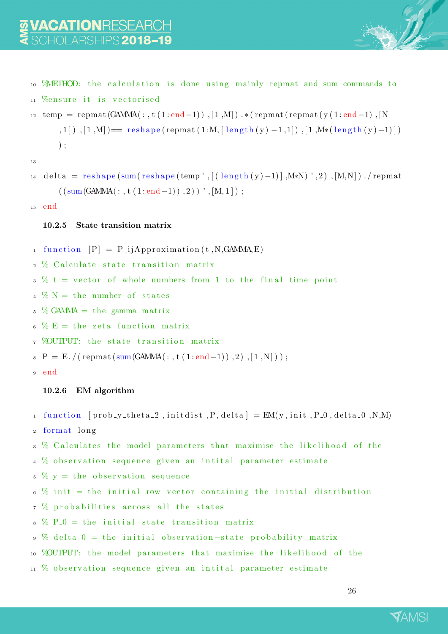

```
<sup>9</sup> WHETHOD: the calculation is done using mainly repmat and sum commands to
11 %ensure it is vectorised
```

```
_{12} temp = repmat(GAMMA(:, t (1:end-1)), [1,M]). * (repmat(repmat(y(1:end-1), [N
       (1,1]), [1,M]) = reshape (repmat (1:M, [\text{length}(y) -1,1]), [1,M*(\text{length}(y) -1)])
       ) ;
```
13

```
_{14} delta = reshape (sum (reshape (temp ', [ (length (y ) -1)], M*N) ', 2), [M,N] ). / repmat
        (( \text{sum}(\text{GAMMA}(:, t(1:\text{end}-1)) , 2) ), [M, 1]);
```
<sup>15</sup> end

## 10.2.5 State transition matrix

- 1 function  $[P] = P_{i}$  jApproximation (t, N, GAMMA, E)
- 2 % Calculate state transition matrix
- $3 \frac{6}{10} t =$  vector of whole numbers from 1 to the final time point
- $\frac{4}{4}$  % N = the number of states
- $\frac{5}{6}$  % GAMMA = the gamma matrix
- $\frac{6}{6}$   $\frac{6}{6}$  E = the zeta function matrix
- 7 %OUTPUT: the state transition matrix
- $\mathbb{P} = \mathbb{E}$ ./(repmat(sum(GAMMA(:, t (1:end-1)), 2), [1,N]));
- <sup>9</sup> end

# 10.2.6 EM algorithm

- 1 function  $[prob_1, k_1, k_2, \ldots, p, delta] = EM(y, init, P, 0, delta, 0, N, M)$
- 2 format long
- 3 % Calculates the model parameters that maximise the likelihood of the
- 4 % observation sequence given an intital parameter estimate
- $\frac{5}{5}$  % y = the observation sequence
- $\frac{6}{6}$  % init = the initial row vector containing the initial distribution
- $7\%$  probabilities across all the states
- $8\%$  P<sub>-0</sub> = the initial state transition matrix
- 9 % delta\_0 = the initial observation-state probability matrix
- 10 % OUTPUT: the model parameters that maximise the likelihood of the
- $11$  % observation sequence given an initial parameter estimate

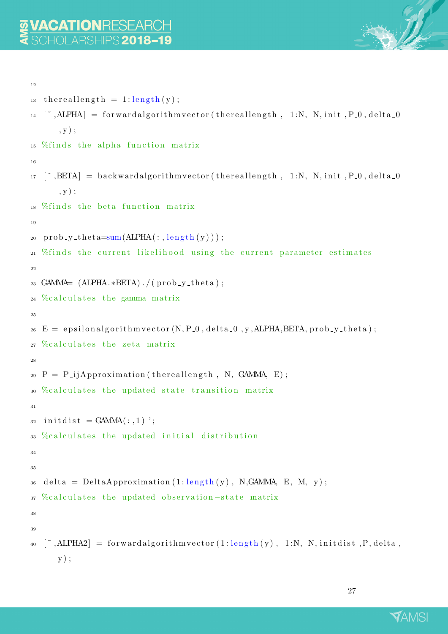

```
12
_{13} thereallength = 1:length(y);
_{14} [", ALPHA] = forward algorithm vector (the reallength, 1:N, N, init, P_0, delta_0
       , y ) ;
15\% finds the alpha function matrix
16
17 \quad \text{[}^{\sim}, \text{BETA}] = \text{backwardalgorithmvector}(\text{thermallength}, 1:N, N, \text{init}, P_0, \text{delta}_0), y ) ;
18 % finds the beta function matrix
19
20 prob_y_theta=sum(ALPHA(:, \text{length}(y)));21 %finds the current likelihood using the current parameter estimates
22
23 GAMMA= (ALPHA.*BETA). /(prob_y_theta);
24\%calculates the gamma matrix
25
E = epsilonalgorithmyector (N, P_0, delta 0, y, ALPHA, BETA, prob<sub>-y-theta</sub>);
27\%calculates the zeta matrix
28
P = P_{ij}Approximation (thereallength, N, GAMMA, E);
30 %calculates the updated state transition matrix
31
32 in it d is t = GAMMA(:,1)';
33 %calculates the updated initial distribution
34
35
36 delta = DeltaApproximation (1:\text{length}(y)), N, GAMMA, E, M, y);
37 %calculates the updated observation-state matrix
38
39
\left[ \begin{array}{cc} \sim \end{array} \right] = forward algorithm vector (1: length(y), 1:N, N, initialist, P, delta,y ) ;
```